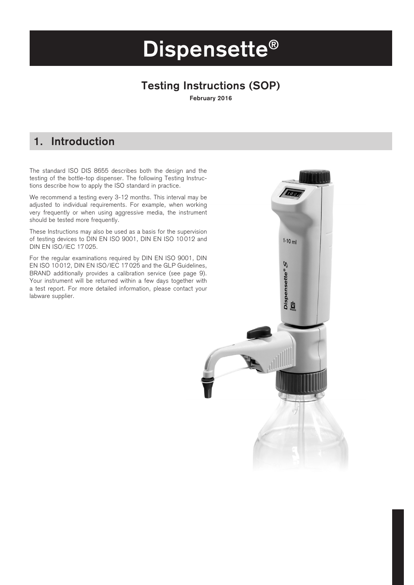# **Dispensette®**

### **Testing Instructions (SOP)**

**February 2016**

### **1. Introduction**

The standard ISO DIS 8655 describes both the design and the testing of the bottle-top dispenser. The following Testing Instructions describe how to apply the ISO standard in practice.

We recommend a testing every 3-12 months. This interval may be adjusted to individual requirements. For example, when working very frequently or when using aggressive media, the instrument should be tested more frequently.

These Instructions may also be used as a basis for the supervision of testing devices to DIN EN ISO 9001, DIN EN ISO 10 012 and DIN EN ISO/IEC 17 025.

For the regular examinations required by DIN EN ISO 9001, DIN EN ISO 10 012, DIN EN ISO/IEC 17 025 and the GLP Guidelines, BRAND additionally provides a calibration service (see page 9). Your instrument will be returned within a few days together with a test report. For more detailed information, please contact your labware supplier.

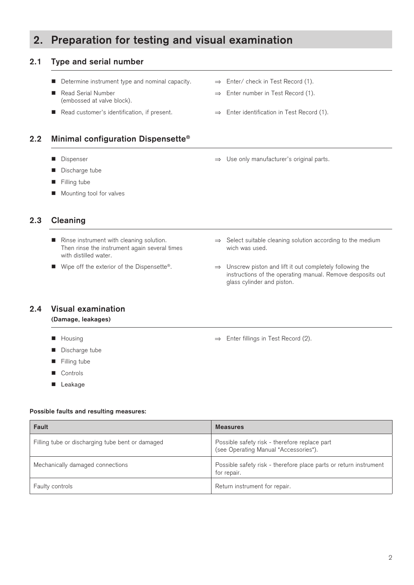### **2. Preparation for testing and visual examination**

#### **2.1 Type and serial number**

- Determine instrument type and nominal capacity.  $\Rightarrow$  Enter/ check in Test Record (1).
- (embossed at valve block).
- Read customer's identification, if present. → Enter identification in Test Record (1).

#### **2.2 Minimal configuration Dispensette®**

- 
- **n** Discharge tube
- **n** Filling tube
- Mounting tool for valves

#### **2.3 Cleaning**

- Then rinse the instrument again several times with distilled water.
- 
- 
- Read Serial Number → → Enter number in Test Record (1).
	-
- Dispenser → Dispenser → Use only manufacturer's original parts.

- Rinse instrument with cleaning solution. <br>
Then rinse the instrument again several times wich was used.
- Wipe off the exterior of the Dispensette®. → Unscrew piston and lift it out completely following the instructions of the operating manual. Remove desposits out glass cylinder and piston.

#### **2.4 Visual examination**

#### **(Damage, leakages)**

- Housing ⇒ Enter fillings in Test Record (2).
- Discharge tube
- $\blacksquare$  Filling tube
- **n** Controls
- **n** Leakage

#### **Possible faults and resulting measures:**

| Fault                                            | <b>Measures</b>                                                                        |
|--------------------------------------------------|----------------------------------------------------------------------------------------|
| Filling tube or discharging tube bent or damaged | Possible safety risk - therefore replace part<br>(see Operating Manual "Accessories"). |
| Mechanically damaged connections                 | Possible safety risk - therefore place parts or return instrument<br>for repair.       |
| <b>Faulty controls</b>                           | Return instrument for repair.                                                          |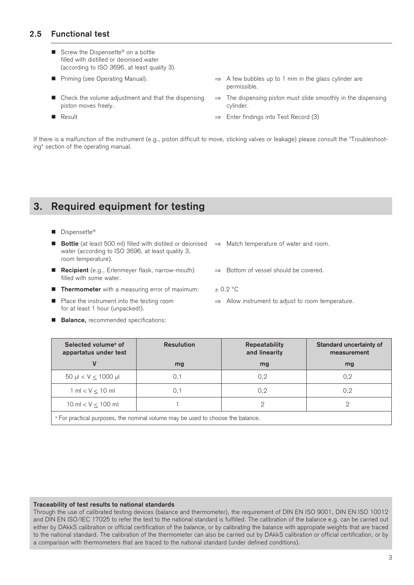#### **2.5 Functional test**

- Screw the Dispensette<sup>®</sup> on a bottle filled with distilled or deionised water (according to ISO 3696, at least quality 3).
- 
- piston moves freely. The contract of the contract of the cylinder.
- 
- Priming (see Operating Manual). → A few bubbles up to 1 mm in the glass cylinder are permissible.
- Check the volume adjustment and that the dispensing  $\Rightarrow$  The dispensing piston must slide smoothly in the dispensing
- Result ⇒ Enter findings into Test Record (3)

If there is a malfunction of the instrument (e.g., piston difficult to move, sticking valves or leakage) please consult the "Troubleshooting" section of the operating manual.

### **3. Required equipment for testing**

#### ■ Dispensette®

- **Bottle** (at least 500 ml) filled with distiled or deionised ⇒ Match temperature of water and room. water (according to ISO 3696, at least quality 3, room temperature). ■ **Recipient** (e.g., Erlenmeyer flask, narrow-mouth)  $\Rightarrow$  Bottom of vessel should be covered.
- filled with some water.
- **n Thermometer** with a measuring error of maximum:  $\pm 0.2$  °C
	-
- Place the instrument into the testing room  $\Rightarrow$  Allow instrument to adjust to room temperature. for at least 1 hour (unpacked!).
- **Balance.** recommended specifications:

| Selected volume <sup>a</sup> of<br>appartatus under test | <b>Resulution</b>                                                                          | <b>Repeatability</b><br>and linearity | Standard uncertainty of<br>measurement |
|----------------------------------------------------------|--------------------------------------------------------------------------------------------|---------------------------------------|----------------------------------------|
|                                                          | mg                                                                                         | mg                                    | mg                                     |
| $50 \mu$ < V $\leq 1000 \mu$                             | 0,1                                                                                        | 0,2                                   | 0,2                                    |
| $1 \text{ ml} < V < 10 \text{ ml}$                       | 0.1                                                                                        | 0,2                                   | 0,2                                    |
| $10 \text{ ml} < V < 100 \text{ ml}$                     |                                                                                            |                                       |                                        |
|                                                          | <sup>a</sup> For practical purposes, the nominal volume may be used to choose the balance. |                                       |                                        |

#### **Traceability of test results to national standards**

Through the use of calibrated testing devices (balance and thermometer), the requirement of DIN EN ISO 9001, DIN EN ISO 10012 and DIN EN ISO/IEC 17025 to refer the test to the national standard is fulfilled. The calibration of the balance e.g. can be carried out either by DAkkS calibration or official certification of the balance, or by calibrating the balance with appropiate weights that are traced to the national standard. The calibration of the thermometer can also be carried out by DAkkS calibration or official certification, or by a comparison with thermometers that are traced to the national standard (under defined conditions).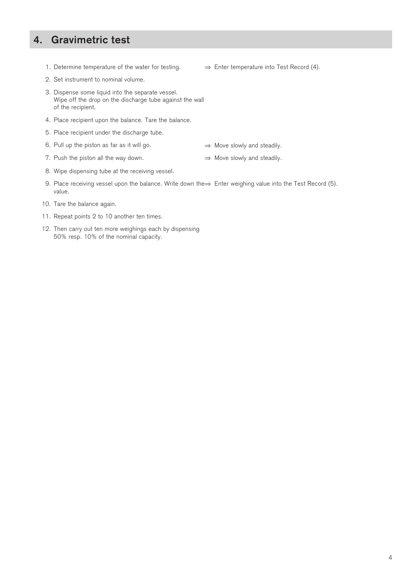### **4. Gravimetric test**

- 1. Determine temperature of the water for testing.  $\Rightarrow$  Enter temperature into Test Record (4).
- 2. Set instrument to nominal volume.
- 3. Dispense some liquid into the separate vessel. Wipe off the drop on the discharge tube against the wall of the recipient.
- 4. Place recipient upon the balance. Tare the balance.
- 5. Place recipient under the discharge tube.
- 6. Pull up the piston as far as it will go.  $\Rightarrow$  Move slowly and steadily.
	-
- 7. Push the piston all the way down.  $\Rightarrow$  Move slowly and steadily.
	-
- 8. Wipe dispensing tube at the receiving vessel.
- 9. Place receiving vessel upon the balance. Write down the $\Rightarrow$  Enter weighing value into the Test Record (5). value.
- 10. Tare the balance again.
- 11. Repeat points 2 to 10 another ten times.
- 12. Then carry out ten more weighings each by dispensing 50% resp. 10% of the nominal capacity.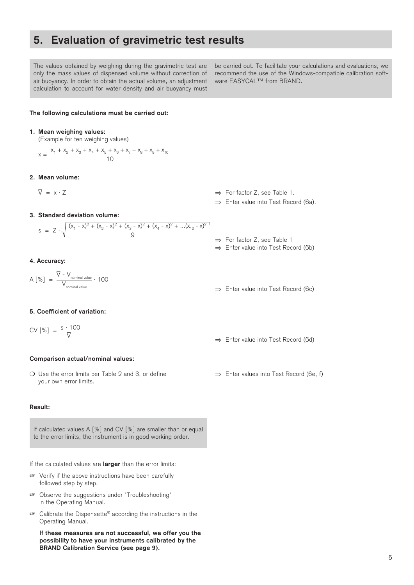### **5. Evaluation of gravimetric test results**

The values obtained by weighing during the gravimetric test are only the mass values of dispensed volume without correction of air buoyancy. In order to obtain the actual volume, an adjustment calculation to account for water density and air buoyancy must

be carried out. To facilitate your calculations and evaluations, we recommend the use of the Windows-compatible calibration software EASYCAL™ from BRAND.

#### **The following calculations must be carried out:**

#### **1. Mean weighing values:**

(Example for ten weighing values)

$$
\overline{x} = \frac{x_1 + x_2 + x_3 + x_4 + x_5 + x_6 + x_7 + x_8 + x_9 + x_{10}}{10}
$$

#### **2. Mean volume:**

 $\overline{V} = \overline{x}$ 

 $\Rightarrow$  For factor Z, see Table 1.

⇒ Enter value into Test Record (6a).

**3. Standard deviation volume:**

$$
s = Z \cdot \sqrt{\frac{(x_1 - \overline{x})^2 + (x_2 - \overline{x})^2 + (x_3 - \overline{x})^2 + (x_4 - \overline{x})^2 + \dots + (x_{10} - \overline{x})^2}{9}}
$$

**4. Accuracy:**

$$
A [\%] = \frac{\overline{V} - V_{\text{nominal value}}}{V_{\text{nominal value}}} \cdot 100
$$

#### **5. Coefficient of variation:**

$$
CV [\%] = \frac{s \cdot 100}{\nabla}
$$

#### **Comparison actual/nominal values:**

 Use the error limits per Table 2 and 3, or define ⇒ Enter values into Test Record (6e, f) your own error limits.

#### **Result:**

If calculated values A [%] and CV [%] are smaller than or equal to the error limits, the instrument is in good working order.

If the calculated values are **larger** than the error limits:

- **Example 13** Verify if the above instructions have been carefully followed step by step.
- **Example 3** Observe the suggestions under "Troubleshooting" in the Operating Manual.
- Calibrate the Dispensette® according the instructions in the Operating Manual.

**If these measures are not successful, we offer you the possibility to have your instruments calibrated by the BRAND Calibration Service (see page 9).**

- ⇒ For factor Z, see Table 1
- ⇒ Enter value into Test Record (6b)
- ⇒ Enter value into Test Record (6c)

⇒ Enter value into Test Record (6d)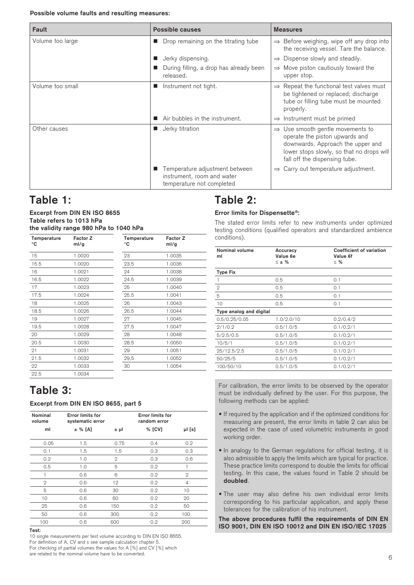#### **Possible volume faults and resulting measures:**

| Fault            | Possible causes                                                                           | <b>Measures</b>                                                                                                                                                                                   |
|------------------|-------------------------------------------------------------------------------------------|---------------------------------------------------------------------------------------------------------------------------------------------------------------------------------------------------|
| Volume too large | Drop remaining on the titrating tube                                                      | $\Rightarrow$ Before weighing, wipe off any drop into<br>the receiving vessel. Tare the balance.                                                                                                  |
|                  | Jerky dispensing.                                                                         | $\Rightarrow$ Dispense slowly and steadily.                                                                                                                                                       |
|                  | During filling, a drop has already been<br>released.                                      | $\Rightarrow$ Move piston cautiously toward the<br>upper stop.                                                                                                                                    |
| Volume too small | Instrument not tight.                                                                     | $\Rightarrow$ Repeat the functional test valves must<br>be tightened or replaced; discharge<br>tube or filling tube must be mounted<br>properly.                                                  |
|                  | Air bubbles in the instrument.                                                            | $\Rightarrow$ Instrument must be primed                                                                                                                                                           |
| Other causes     | Jerky titration<br>$\blacksquare$                                                         | $\Rightarrow$ Use smooth gentle movements to<br>operate the piston upwards and<br>downwards. Approach the upper and<br>lower stops slowly, so that no drops will<br>fall off the dispensing tube. |
|                  | Temperature adjustment between<br>instrument, room and water<br>temperature not completed | $\Rightarrow$ Carry out temperature adjustment.                                                                                                                                                   |

### **Table 1:**

#### **Excerpt from DIN EN ISO 8655 Table refers to 1013 hPa the validity range 980 hPa to 1040 hPa**

| Temperature<br>۰c | Factor Z<br>ml/g | Temperature<br>۰c | Factor Z<br>ml/g |
|-------------------|------------------|-------------------|------------------|
| 15                | 1.0020           | 23                | 1.0035           |
| 15.5              | 1.0020           | 23.5              | 1.0036           |
| 16                | 1.0021           | 24                | 1.0038           |
| 16.5              | 1.0022           | 24.5              | 1.0039           |
| 17                | 1.0023           | 25                | 1.0040           |
| 17.5              | 1.0024           | 25.5              | 1.0041           |
| 18                | 1.0025           | 26                | 1.0043           |
| 18.5              | 1.0026           | 26.5              | 1.0044           |
| 19                | 1.0027           | 27                | 1.0045           |
| 19.5              | 1.0028           | 27.5              | 1.0047           |
| 20                | 1.0029           | 28                | 1.0048           |
| 20.5              | 1.0030           | 28.5              | 1.0050           |
| 21                | 1.0031           | 29                | 1.0051           |
| 21.5              | 1.0032           | 29.5              | 1.0052           |
| 22                | 1.0033           | 30                | 1.0054           |
| 22.5              | 1.0034           |                   |                  |

### **Table 3:**

#### **Excerpt from DIN EN ISO 8655, part 5**

| Nominal<br>volume | <b>Error limits for</b><br>systematic error |                | <b>Error limits for</b><br>random error |              |
|-------------------|---------------------------------------------|----------------|-----------------------------------------|--------------|
| ml                | $±$ % [A]                                   | ±μl            | % [CV]                                  | µl [s]       |
| 0.05              | 1.5                                         | 0.75           | 0.4                                     | 0.2          |
| 0.1               | 1.5                                         | 1.5            | 0.3                                     | 0.3          |
| 0.2               | 1.0                                         | $\overline{2}$ | 0.3                                     | 0.6          |
| 0.5               | 1.0                                         | 5              | 0.2                                     | 1            |
|                   | 0.6                                         | 6              | 0.2                                     | $\mathbf{2}$ |
| $\mathbf{2}$      | 0.6                                         | 12             | 0.2                                     | 4            |
| 5                 | 0.6                                         | 30             | 0.2                                     | 10           |
| 10                | 0.6                                         | 60             | 0.2                                     | 20           |
| 25                | 0.6                                         | 150            | 0.2                                     | 50           |
| 50                | 0.6                                         | 300            | 0.2                                     | 100          |
| 100               | 0.6                                         | 600            | 0.2                                     | 200          |

10 single measurements per test volume according to DIN EN ISO 8655.

For definition of A, CV and s see sample calculation chapter 5. For checking of partial volumes the values for A [%] and CV [%] which

#### are related to the nominal volume have to be converted.

### **Table 2:**

#### **Error limits for Dispensette®:**

The stated error limits refer to new instruments under optimized testing conditions (qualified operators and standardized ambience conditions).

| <b>Nominal volume</b><br>ml | Accuracy<br>Value 6e<br>$\leq$ ± % | <b>Coefficient of variation</b><br>Value 6f<br>$\leq$ % |
|-----------------------------|------------------------------------|---------------------------------------------------------|
| <b>Type Fix</b>             |                                    |                                                         |
|                             | 0.5                                | 0.1                                                     |
| $\overline{2}$              | 0.5                                | 0.1                                                     |
| 5                           | 0.5                                | 0.1                                                     |
| 10                          | 0.5                                | 0.1                                                     |
| Type analog and digital     |                                    |                                                         |
| 0.5/0.25/0.05               | 1.0/2.0/10                         | 0.2/0.4/2                                               |
| 2/1/0.2                     | 0.5/1.0/5                          | 0.1/0.2/1                                               |
| 5/2.5/0.5                   | 0.5/1.0/5                          | 0.1/0.2/1                                               |
| 10/5/1                      | 0.5/1.0/5                          | 0.1/0.2/1                                               |
| 25/12.5/2.5                 | 0.5/1.0/5                          | 0.1/0.2/1                                               |
| 50/25/5                     | 0.5/1.0/5                          | 0.1/0.2/1                                               |
| 100/50/10                   | 0.5/1.0/5                          | 0.1/0.2/1                                               |

For calibration, the error limits to be observed by the operator must be individually defined by the user. For this purpose, the following methods can be applied:

- If required by the application and if the optimized conditions for measuring are present, the error limits in table 2 can also be expected in the case of used volumetric instruments in good working order.
- In analogy to the German regulations for official testing, it is also admissible to apply the limits which are typical for practice. These practice limits correspond to double the limits for official testing. In this case, the values found in Table 2 should be **doubled**.
- The user may also define his own individual error limits corresponding to his particular application, and apply these tolerances for the calibration of his instrument.

**The above procedures fulfil the requirements of DIN EN ISO 9001, DIN EN ISO 10012 and DIN EN ISO/IEC 17025**<br>Test: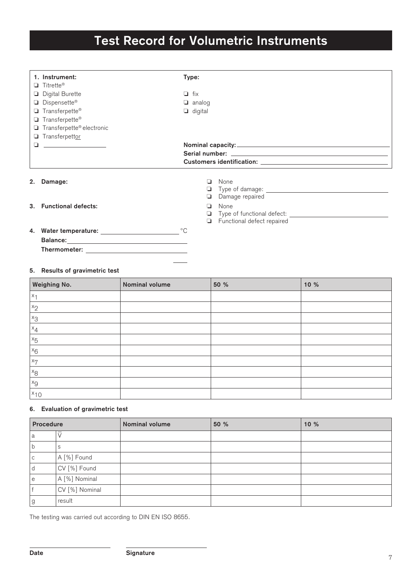## **Test Record for Volumetric Instruments**

| 1. Instrument:                                             | Type:                                                                                                           |  |
|------------------------------------------------------------|-----------------------------------------------------------------------------------------------------------------|--|
| $\Box$ Titrette®                                           |                                                                                                                 |  |
| Digital Burette                                            | $\Box$ fix                                                                                                      |  |
| Dispensette®                                               | $\Box$ analog                                                                                                   |  |
| $\Box$ Transferpette®                                      | $\Box$ digital                                                                                                  |  |
| $\Box$ Transferpette®                                      |                                                                                                                 |  |
| $\Box$ Transferpette® electronic                           |                                                                                                                 |  |
| Transferpettor<br>$\Box$ and the state of the state $\Box$ |                                                                                                                 |  |
|                                                            |                                                                                                                 |  |
|                                                            | Serial number: University of the Serial numbers and the series of the series of the series of the series of the |  |
|                                                            |                                                                                                                 |  |
|                                                            |                                                                                                                 |  |
| 2.<br>Damage:                                              | None<br>ப                                                                                                       |  |
|                                                            | ❏                                                                                                               |  |
|                                                            | Damage repaired<br>u.                                                                                           |  |
| 3. Functional defects:                                     | □ None                                                                                                          |  |

 $\overline{\mathbf{a}}$  unctional defects

Type of functional defect:

Functional defect repaired

**4.** Water temperature: \_\_\_\_\_\_\_\_\_\_\_\_\_\_\_\_\_\_\_\_\_\_\_\_\_\_\_<sup>o</sup>C **Balance: Thermometer:**

#### **5. Results of gravimetric test**

| <b>Weighing No.</b> | Nominal volume | 50 % | 10 % |
|---------------------|----------------|------|------|
| $x_1$               |                |      |      |
| $x_2$               |                |      |      |
| $x_3$               |                |      |      |
| $x_4$               |                |      |      |
| $x_{5}$             |                |      |      |
| $x_6$               |                |      |      |
| $x_7$               |                |      |      |
| $x_8$               |                |      |      |
| $x_{9}$             |                |      |      |
| $x_{10}$            |                |      |      |

#### **6. Evaluation of gravimetric test**

| Procedure   |                | Nominal volume | 50 % | 10% |
|-------------|----------------|----------------|------|-----|
| a           |                |                |      |     |
| b           | S              |                |      |     |
| $\mathsf C$ | A [%] Found    |                |      |     |
| d           | CV [%] Found   |                |      |     |
| le          | A [%] Nominal  |                |      |     |
|             | CV [%] Nominal |                |      |     |
| g           | result         |                |      |     |

The testing was carried out according to DIN EN ISO 8655.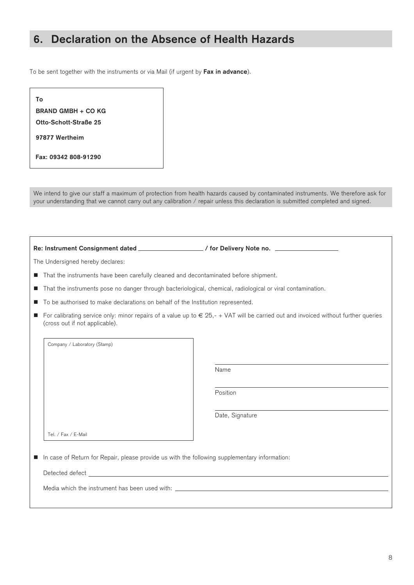### **6. Declaration on the Absence of Health Hazards**

To be sent together with the instruments or via Mail (if urgent by **Fax in advance**).

| Τo                        |
|---------------------------|
| <b>BRAND GMBH + CO KG</b> |
| Otto-Schott-Straße 25     |
| 97877 Wertheim            |
| Fax: 09342 808-91290      |

We intend to give our staff a maximum of protection from health hazards caused by contaminated instruments. We therefore ask for your understanding that we cannot carry out any calibration / repair unless this declaration is submitted completed and signed.

Re: Instrument Consignment dated \_\_\_\_\_\_\_\_\_\_\_\_\_\_\_\_\_/ for Delivery Note no. \_

The Undersigned hereby declares:

Company / Laboratory (Stamp)

- That the instruments have been carefully cleaned and decontaminated before shipment.
- That the instruments pose no danger through bacteriological, chemical, radiological or viral contamination.
- To be authorised to make declarations on behalf of the Institution represented.
- For calibrating service only: minor repairs of a value up to  $\epsilon$  25,- + VAT will be carried out and invoiced without further queries (cross out if not applicable).

Name

Position

Date, Signature

n In case of Return for Repair, please provide us with the following supplementary information: Tel. / Fax / E-Mail

Detected defect

Media which the instrument has been used with: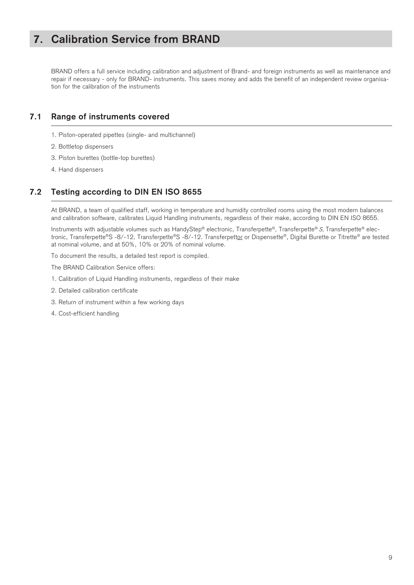### **7. Calibration Service from BRAND**

BRAND offers a full service including calibration and adjustment of Brand- and foreign instruments as well as maintenance and repair if necessary - only for BRAND- instruments. This saves money and adds the benefit of an independent review organisation for the calibration of the instruments

#### **7.1 Range of instruments covered**

- 1. Piston-operated pipettes (single- and multichannel)
- 2. Bottletop dispensers
- 3. Piston burettes (bottle-top burettes)
- 4. Hand dispensers

### **7.2 Testing according to DIN EN ISO 8655**

At BRAND, a team of qualified staff, working in temperature and humidity controlled rooms using the most modern balances and calibration software, calibrates Liquid Handling instruments, regardless of their make, according to DIN EN ISO 8655.

Instruments with adjustable volumes such as HandyStep® electronic, Transferpette®, Transferpette® S, Transferpette® electronic, Transferpette®S -8/-12, Transferpette®S -8/-12. Transferpettor or Dispensette®, Digital Burette or Titrette® are tested at nominal volume, and at 50%, 10% or 20% of nominal volume.

To document the results, a detailed test report is compiled.

The BRAND Calibration Service offers:

- 1. Calibration of Liquid Handling instruments, regardless of their make
- 2. Detailed calibration certificate
- 3. Return of instrument within a few working days
- 4. Cost-efficient handling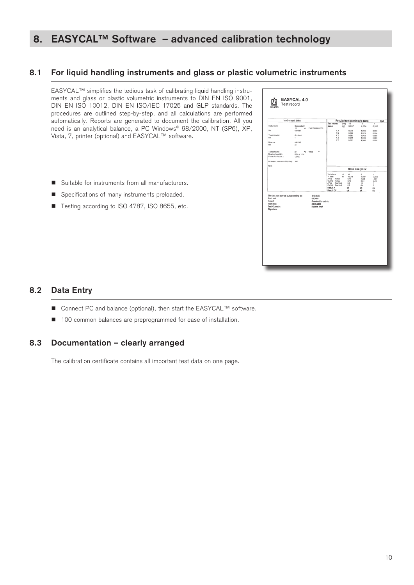### **8. EASYCAL™ Software – advanced calibration technology**

#### **8.1 For liquid handling instruments and glass or plastic volumetric instruments**

EASYCAL™ simplifies the tedious task of calibrating liquid handling instruments and glass or plastic volumetric instruments to DIN EN ISO 9001, DIN EN ISO 10012, DIN EN ISO/IEC 17025 and GLP standards. The procedures are outlined step-by-step, and all calculations are performed automatically. Reports are generated to document the calibration. All you need is an analytical balance, a PC Windows® 98/2000, NT (SP6), XP, Vista, 7, printer (optional) and EASYCAL™ software.

- $\blacksquare$  Suitable for instruments from all manufacturers.
- Specifications of many instruments preloaded.
- Testing according to ISO 4787, ISO 8655, etc.

|                                                                                                              | Instrument data:                                                                 |                                                                                                                        |             |                                                        | Results from gravimetric tests:                         | EX                                                              |
|--------------------------------------------------------------------------------------------------------------|----------------------------------------------------------------------------------|------------------------------------------------------------------------------------------------------------------------|-------------|--------------------------------------------------------|---------------------------------------------------------|-----------------------------------------------------------------|
| Instrument:<br>No.                                                                                           | Disconsotto III<br>mi EASY CALIBRATION<br>10<br>02F8554                          | Test volume:<br>Value:<br>X <sub>1</sub>                                                                               | (ml)<br>(g) | $10^{-}$<br>9,957<br>9,975                             | $\overline{\mathbf{s}}$<br>4.984<br>4,999               | Ŧ<br>0,997                                                      |
| Thermometer:<br>No.                                                                                          | Goldbrand<br>f.                                                                  | X <sub>2</sub><br>X3                                                                                                   |             | 9,962<br>9,961<br>9,971                                | 4,976<br>4,968<br>4,983                                 | 0.996<br>0.994<br>0,999<br>0,993                                |
| Balance:<br>No.                                                                                              | <b>A&amp;DHF</b><br>33                                                           | $\frac{X4}{X5}$                                                                                                        |             | 9,995                                                  | 4,988                                                   | 0,998                                                           |
| Temperature:<br>Relative humidity<br>Correction factor z:                                                    | $\mathbf{z}$<br>°C / 71,60<br>۰F<br>$50\% \pm 15\%$<br>1,00327                   |                                                                                                                        |             |                                                        |                                                         |                                                                 |
| Atmosph. pressure abs(hPa): 1000                                                                             |                                                                                  |                                                                                                                        |             |                                                        |                                                         |                                                                 |
| Note                                                                                                         |                                                                                  |                                                                                                                        |             |                                                        |                                                         |                                                                 |
|                                                                                                              |                                                                                  |                                                                                                                        |             |                                                        | Data analysis:                                          |                                                                 |
|                                                                                                              |                                                                                  | Test volume:<br>V Meen<br>Actual<br>A(56)<br>CV(%) Actual<br>Nominal<br>A(%)<br>CV(%) Nominal<br>Result A<br>Result CV | m<br>ml     | 10<br>10.015<br>0,15<br>0.10<br>0.6<br>0.2<br>ok<br>ok | 5<br>4.959<br>$-0.02$<br>0.24<br>1,2<br>0.4<br>ok<br>ok | ٠<br>0,999<br>$-0.07$<br>0,26<br>6<br>$\frac{1}{2}$<br>ok<br>ok |
| The test was carried out according to:<br>Noxt test<br>Result:<br>Test date:<br>Test Operator:<br>Signature: | <b>ISO 8655</b><br>05.2009<br>Gravimetric test ok<br>23.09.2008<br>Kathrin Kraft |                                                                                                                        |             |                                                        |                                                         |                                                                 |
|                                                                                                              |                                                                                  |                                                                                                                        |             |                                                        |                                                         |                                                                 |
|                                                                                                              |                                                                                  |                                                                                                                        |             |                                                        |                                                         |                                                                 |
|                                                                                                              |                                                                                  |                                                                                                                        |             |                                                        |                                                         |                                                                 |
|                                                                                                              |                                                                                  |                                                                                                                        |             |                                                        |                                                         |                                                                 |

#### **8.2 Data Entry**

- Connect PC and balance (optional), then start the EASYCAL<sup>™</sup> software.
- 100 common balances are preprogrammed for ease of installation.

#### **8.3 Documentation – clearly arranged**

The calibration certificate contains all important test data on one page.